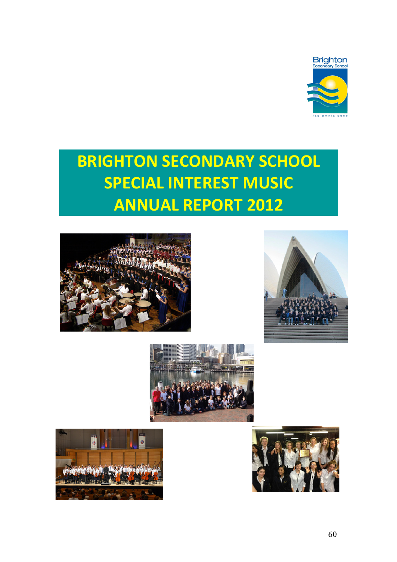

# **BRIGHTON SECONDARY SCHOOL SPECIAL INTEREST MUSIC ANNUAL REPORT 2012**









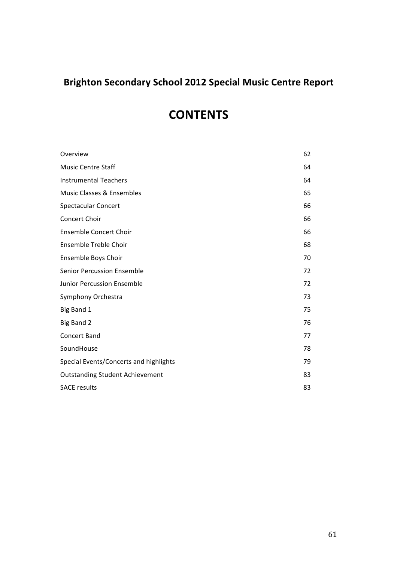## **Brighton!Secondary!School!2012!Special!Music!Centre!Report**

# **CONTENTS**

| Overview                               | 62 |
|----------------------------------------|----|
| <b>Music Centre Staff</b>              | 64 |
| <b>Instrumental Teachers</b>           | 64 |
| Music Classes & Ensembles              | 65 |
| <b>Spectacular Concert</b>             | 66 |
| Concert Choir                          | 66 |
| Ensemble Concert Choir                 | 66 |
| Ensemble Treble Choir                  | 68 |
| Ensemble Boys Choir                    | 70 |
| <b>Senior Percussion Ensemble</b>      | 72 |
| <b>Junior Percussion Ensemble</b>      | 72 |
| Symphony Orchestra                     | 73 |
| Big Band 1                             | 75 |
| Big Band 2                             | 76 |
| <b>Concert Band</b>                    | 77 |
| SoundHouse                             | 78 |
| Special Events/Concerts and highlights | 79 |
| <b>Outstanding Student Achievement</b> | 83 |
| <b>SACE results</b>                    | 83 |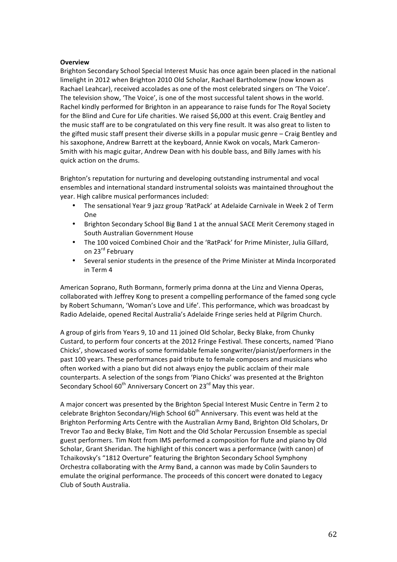### **Overview**

Brighton Secondary School Special Interest Music has once again been placed in the national limelight in 2012 when Brighton 2010 Old Scholar, Rachael Bartholomew (now known as Rachael Leahcar), received accolades as one of the most celebrated singers on 'The Voice'. The television show, 'The Voice', is one of the most successful talent shows in the world. Rachel kindly performed for Brighton in an appearance to raise funds for The Royal Society for the Blind and Cure for Life charities. We raised \$6,000 at this event. Craig Bentley and the music staff are to be congratulated on this very fine result. It was also great to listen to the gifted music staff present their diverse skills in a popular music genre – Craig Bentley and his saxophone, Andrew Barrett at the keyboard, Annie Kwok on vocals, Mark Cameron-Smith with his magic guitar, Andrew Dean with his double bass, and Billy James with his quick action on the drums.

Brighton's reputation for nurturing and developing outstanding instrumental and vocal ensembles and international standard instrumental soloists was maintained throughout the year. High calibre musical performances included:

- The sensational Year 9 jazz group 'RatPack' at Adelaide Carnivale in Week 2 of Term One)
- Brighton Secondary School Big Band 1 at the annual SACE Merit Ceremony staged in South Australian Government House
- The 100 voiced Combined Choir and the 'RatPack' for Prime Minister, Julia Gillard, on 23<sup>rd</sup> February
- Several senior students in the presence of the Prime Minister at Minda Incorporated in Term 4

American Soprano, Ruth Bormann, formerly prima donna at the Linz and Vienna Operas, collaborated with Jeffrey Kong to present a compelling performance of the famed song cycle by Robert Schumann, 'Woman's Love and Life'. This performance, which was broadcast by Radio Adelaide, opened Recital Australia's Adelaide Fringe series held at Pilgrim Church.

A group of girls from Years 9, 10 and 11 joined Old Scholar, Becky Blake, from Chunky Custard, to perform four concerts at the 2012 Fringe Festival. These concerts, named 'Piano Chicks', showcased works of some formidable female songwriter/pianist/performers in the past 100 years. These performances paid tribute to female composers and musicians who often worked with a piano but did not always enjoy the public acclaim of their male counterparts. A selection of the songs from 'Piano Chicks' was presented at the Brighton Secondary School 60<sup>th</sup> Anniversary Concert on 23<sup>rd</sup> May this year.

A major concert was presented by the Brighton Special Interest Music Centre in Term 2 to celebrate Brighton Secondary/High School  $60<sup>th</sup>$  Anniversary. This event was held at the Brighton Performing Arts Centre with the Australian Army Band, Brighton Old Scholars, Dr Trevor Tao and Becky Blake, Tim Nott and the Old Scholar Percussion Ensemble as special guest performers. Tim Nott from IMS performed a composition for flute and piano by Old Scholar, Grant Sheridan. The highlight of this concert was a performance (with canon) of Tchaikovsky's "1812 Overture" featuring the Brighton Secondary School Symphony Orchestra collaborating with the Army Band, a cannon was made by Colin Saunders to emulate the original performance. The proceeds of this concert were donated to Legacy Club of South Australia.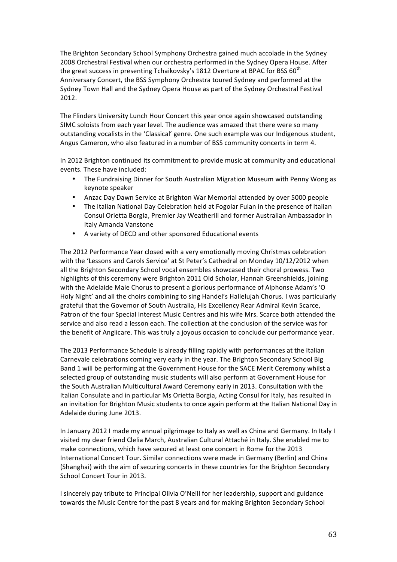The Brighton Secondary School Symphony Orchestra gained much accolade in the Sydney 2008) Orchestral Festival when our orchestra performed in the Sydney Opera House. After the great success in presenting Tchaikovsky's 1812 Overture at BPAC for BSS 60<sup>th</sup> Anniversary Concert, the BSS Symphony Orchestra toured Sydney and performed at the Sydney Town Hall and the Sydney Opera House as part of the Sydney Orchestral Festival 2012.)

The Flinders University Lunch Hour Concert this year once again showcased outstanding SIMC soloists from each year level. The audience was amazed that there were so many outstanding vocalists in the 'Classical' genre. One such example was our Indigenous student, Angus Cameron, who also featured in a number of BSS community concerts in term 4.

In 2012 Brighton continued its commitment to provide music at community and educational events. These have included:

- The Fundraising Dinner for South Australian Migration Museum with Penny Wong as keynote speaker
- Anzac Day Dawn Service at Brighton War Memorial attended by over 5000 people
- The Italian National Day Celebration held at Fogolar Fulan in the presence of Italian Consul Orietta Borgia, Premier Jay Weatherill and former Australian Ambassador in Italy)Amanda)Vanstone
- A variety of DECD and other sponsored Educational events

The 2012 Performance Year closed with a very emotionally moving Christmas celebration with the 'Lessons and Carols Service' at St Peter's Cathedral on Monday 10/12/2012 when all the Brighton Secondary School vocal ensembles showcased their choral prowess. Two highlights of this ceremony were Brighton 2011 Old Scholar, Hannah Greenshields, joining with the Adelaide Male Chorus to present a glorious performance of Alphonse Adam's 'O Holy Night' and all the choirs combining to sing Handel's Halleluiah Chorus. I was particularly grateful that the Governor of South Australia, His Excellency Rear Admiral Kevin Scarce, Patron of the four Special Interest Music Centres and his wife Mrs. Scarce both attended the service and also read a lesson each. The collection at the conclusion of the service was for the benefit of Anglicare. This was truly a joyous occasion to conclude our performance year.

The 2013 Performance Schedule is already filling rapidly with performances at the Italian Carnevale celebrations coming very early in the year. The Brighton Secondary School Big Band 1 will be performing at the Government House for the SACE Merit Ceremony whilst a selected group of outstanding music students will also perform at Government House for the South Australian Multicultural Award Ceremony early in 2013. Consultation with the Italian Consulate and in particular Ms Orietta Borgia, Acting Consul for Italy, has resulted in an invitation for Brighton Music students to once again perform at the Italian National Day in Adelaide during June 2013.

In January 2012 I made my annual pilgrimage to Italy as well as China and Germany. In Italy I visited my dear friend Clelia March, Australian Cultural Attaché in Italy. She enabled me to make connections, which have secured at least one concert in Rome for the 2013 International Concert Tour. Similar connections were made in Germany (Berlin) and China (Shanghai) with the aim of securing concerts in these countries for the Brighton Secondary School Concert Tour in 2013.

I sincerely pay tribute to Principal Olivia O'Neill for her leadership, support and guidance towards the Music Centre for the past 8 years and for making Brighton Secondary School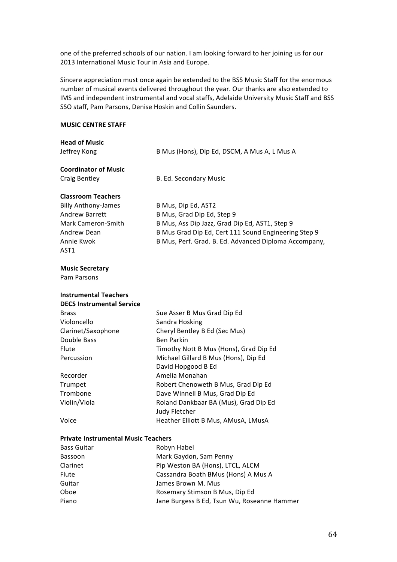one of the preferred schools of our nation. I am looking forward to her joining us for our 2013 International Music Tour in Asia and Europe.

Sincere appreciation must once again be extended to the BSS Music Staff for the enormous number of musical events delivered throughout the year. Our thanks are also extended to IMS and independent instrumental and vocal staffs, Adelaide University Music Staff and BSS SSO staff, Pam Parsons, Denise Hoskin and Collin Saunders.

### **MUSIC CENTRE STAFF**

| <b>Head of Music</b><br>Jeffrey Kong       | B Mus (Hons), Dip Ed, DSCM, A Mus A, L Mus A                           |
|--------------------------------------------|------------------------------------------------------------------------|
| <b>Coordinator of Music</b>                |                                                                        |
| <b>Craig Bentley</b>                       | B. Ed. Secondary Music                                                 |
| <b>Classroom Teachers</b>                  |                                                                        |
| <b>Billy Anthony-James</b>                 | B Mus, Dip Ed, AST2                                                    |
| Andrew Barrett                             | B Mus, Grad Dip Ed, Step 9                                             |
| Mark Cameron-Smith                         | B Mus, Ass Dip Jazz, Grad Dip Ed, AST1, Step 9                         |
| Andrew Dean                                | B Mus Grad Dip Ed, Cert 111 Sound Engineering Step 9                   |
| Annie Kwok<br>AST1                         | B Mus, Perf. Grad. B. Ed. Advanced Diploma Accompany,                  |
| <b>Music Secretary</b>                     |                                                                        |
| Pam Parsons                                |                                                                        |
| <b>Instrumental Teachers</b>               |                                                                        |
| <b>DECS Instrumental Service</b>           |                                                                        |
| <b>Brass</b>                               | Sue Asser B Mus Grad Dip Ed                                            |
| Violoncello                                | Sandra Hosking                                                         |
| Clarinet/Saxophone                         | Cheryl Bentley B Ed (Sec Mus)                                          |
| Double Bass                                | <b>Ben Parkin</b>                                                      |
| Flute                                      | Timothy Nott B Mus (Hons), Grad Dip Ed                                 |
| Percussion                                 | Michael Gillard B Mus (Hons), Dip Ed                                   |
|                                            | David Hopgood B Ed                                                     |
| Recorder                                   | Amelia Monahan                                                         |
| Trumpet<br>Trombone                        | Robert Chenoweth B Mus, Grad Dip Ed<br>Dave Winnell B Mus, Grad Dip Ed |
| Violin/Viola                               | Roland Dankbaar BA (Mus), Grad Dip Ed                                  |
|                                            | Judy Fletcher                                                          |
| Voice                                      | Heather Elliott B Mus, AMusA, LMusA                                    |
| <b>Private Instrumental Music Teachers</b> |                                                                        |
| <b>Bass Guitar</b>                         | Robyn Habel                                                            |
| Bassoon                                    | Mark Gaydon, Sam Penny                                                 |
| Clarinet                                   | Pip Weston BA (Hons), LTCL, ALCM                                       |
| Flute                                      | Cassandra Boath BMus (Hons) A Mus A                                    |

Guitar **Guitar** James Brown M. Mus

Oboe Rosemary Stimson B Mus, Dip Ed

Piano Jane Burgess B Ed, Tsun Wu, Roseanne Hammer

64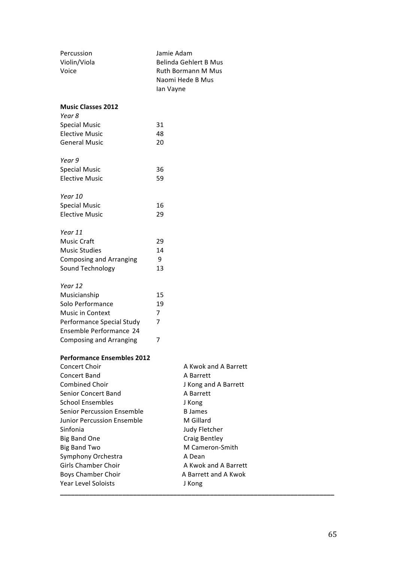| Percussion<br>Violin/Viola<br>Voice | Jamie Adam<br>Ian Vayne | Belinda Gehlert B Mus<br>Ruth Bormann M Mus<br>Naomi Hede B Mus |  |
|-------------------------------------|-------------------------|-----------------------------------------------------------------|--|
| <b>Music Classes 2012</b><br>Year 8 |                         |                                                                 |  |
| <b>Special Music</b>                | 31                      |                                                                 |  |
| <b>Elective Music</b>               | 48                      |                                                                 |  |
| <b>General Music</b>                | 20                      |                                                                 |  |
|                                     |                         |                                                                 |  |
| Year 9                              |                         |                                                                 |  |
| <b>Special Music</b>                | 36                      |                                                                 |  |
| <b>Elective Music</b>               | 59                      |                                                                 |  |
| Year 10                             |                         |                                                                 |  |
| <b>Special Music</b>                | 16                      |                                                                 |  |
| <b>Elective Music</b>               | 29                      |                                                                 |  |
| Year 11                             |                         |                                                                 |  |
| Music Craft                         | 29                      |                                                                 |  |
| <b>Music Studies</b>                | 14                      |                                                                 |  |
| <b>Composing and Arranging</b>      | 9                       |                                                                 |  |
| Sound Technology                    | 13                      |                                                                 |  |
| Year 12                             |                         |                                                                 |  |
| Musicianship                        | 15                      |                                                                 |  |
| Solo Performance                    | 19                      |                                                                 |  |
| Music in Context                    | 7                       |                                                                 |  |
| Performance Special Study           | 7                       |                                                                 |  |
| Ensemble Performance 24             |                         |                                                                 |  |
| <b>Composing and Arranging</b>      | 7                       |                                                                 |  |
| <b>Performance Ensembles 2012</b>   |                         |                                                                 |  |
| Concert Choir                       |                         | A Kwok and A Barrett                                            |  |
| <b>Concert Band</b>                 |                         | A Barrett                                                       |  |
| <b>Combined Choir</b>               |                         | J Kong and A Barrett                                            |  |
| <b>Senior Concert Band</b>          |                         | A Barrett                                                       |  |
| <b>School Ensembles</b>             |                         | J Kong                                                          |  |
| Senior Percussion Ensemble          |                         | <b>B</b> James                                                  |  |
| <b>Junior Percussion Ensemble</b>   |                         | M Gillard                                                       |  |
| Sinfonia                            |                         | Judy Fletcher                                                   |  |
| <b>Big Band One</b>                 |                         | Craig Bentley                                                   |  |
| <b>Big Band Two</b>                 |                         | M Cameron-Smith                                                 |  |
| Symphony Orchestra                  |                         | A Dean                                                          |  |
| <b>Girls Chamber Choir</b>          |                         | A Kwok and A Barrett                                            |  |
| <b>Boys Chamber Choir</b>           |                         | A Barrett and A Kwok                                            |  |
| Year Level Soloists                 |                         | J Kong                                                          |  |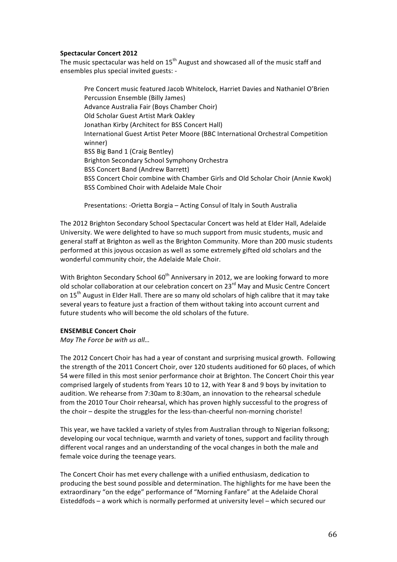### **Spectacular Concert 2012**

The music spectacular was held on  $15<sup>th</sup>$  August and showcased all of the music staff and ensembles plus special invited guests: -

Pre Concert music featured Jacob Whitelock, Harriet Davies and Nathaniel O'Brien Percussion Ensemble (Billy James) Advance Australia Fair (Boys Chamber Choir) Old Scholar Guest Artist Mark Oakley Jonathan Kirby (Architect for BSS Concert Hall) International Guest Artist Peter Moore (BBC International Orchestral Competition winner) BSS Big Band 1 (Craig Bentley) Brighton Secondary School Symphony Orchestra BSS Concert Band (Andrew Barrett) BSS Concert Choir combine with Chamber Girls and Old Scholar Choir (Annie Kwok) BSS Combined Choir with Adelaide Male Choir

Presentations: - Orietta Borgia – Acting Consul of Italy in South Australia

The 2012 Brighton Secondary School Spectacular Concert was held at Elder Hall, Adelaide University. We were delighted to have so much support from music students, music and general staff at Brighton as well as the Brighton Community. More than 200 music students performed at this joyous occasion as well as some extremely gifted old scholars and the wonderful community choir, the Adelaide Male Choir.

With Brighton Secondary School 60<sup>th</sup> Anniversary in 2012, we are looking forward to more old scholar collaboration at our celebration concert on 23<sup>rd</sup> May and Music Centre Concert on 15<sup>th</sup> August in Elder Hall. There are so many old scholars of high calibre that it may take several years to feature just a fraction of them without taking into account current and future students who will become the old scholars of the future.

### **ENSEMBLE Concert Choir**

*May The Force be with us all...* 

The 2012 Concert Choir has had a year of constant and surprising musical growth. Following the strength of the 2011 Concert Choir, over 120 students auditioned for 60 places, of which 54 were filled in this most senior performance choir at Brighton. The Concert Choir this year comprised largely of students from Years 10 to 12, with Year 8 and 9 boys by invitation to audition. We rehearse from 7:30am to 8:30am, an innovation to the rehearsal schedule from the 2010 Tour Choir rehearsal, which has proven highly successful to the progress of the choir – despite the struggles for the less-than-cheerful non-morning choriste!

This year, we have tackled a variety of styles from Australian through to Nigerian folksong; developing our vocal technique, warmth and variety of tones, support and facility through different vocal ranges and an understanding of the vocal changes in both the male and female voice during the teenage years.

The Concert Choir has met every challenge with a unified enthusiasm, dedication to producing the best sound possible and determination. The highlights for me have been the extraordinary "on the edge" performance of "Morning Fanfare" at the Adelaide Choral Eisteddfods – a work which is normally performed at university level – which secured our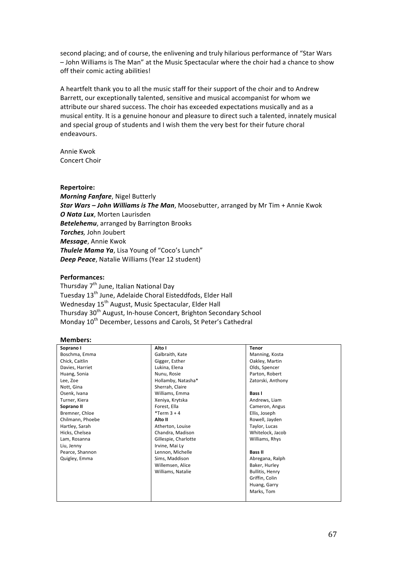second placing; and of course, the enlivening and truly hilarious performance of "Star Wars - John Williams is The Man" at the Music Spectacular where the choir had a chance to show off their comic acting abilities!

A) heartfelt thank you to all the music staff for their support of the choir and to Andrew Barrett, our exceptionally talented, sensitive and musical accompanist for whom we attribute our shared success. The choir has exceeded expectations musically and as a musical entity. It is a genuine honour and pleasure to direct such a talented, innately musical and special group of students and I wish them the very best for their future choral endeavours.

Annie Kwok Concert Choir

### **Repertoire:**

*Morning Fanfare*, Nigel Butterly **Star Wars – John Williams is The Man**, Moosebutter, arranged by Mr Tim + Annie Kwok **O Nata Lux**, Morten Laurisden **Betelehemu**, arranged by Barrington Brooks **Torches**, John Joubert **Message**, Annie Kwok **Thulele Mama Ya**, Lisa Young of "Coco's Lunch" **Deep Peace**, Natalie Williams (Year 12 student)

### **Performances:**

Thursday 7<sup>th</sup> June, Italian National Day Tuesday 13<sup>th</sup> June, Adelaide Choral Eisteddfods, Elder Hall Wednesday 15<sup>th</sup> August, Music Spectacular, Elder Hall Thursday 30<sup>th</sup> August, In-house Concert, Brighton Secondary School Monday 10<sup>th</sup> December, Lessons and Carols, St Peter's Cathedral

### **Members:**

| Soprano I        | Alto I               | <b>Tenor</b>           |
|------------------|----------------------|------------------------|
| Boschma, Emma    | Galbraith, Kate      | Manning, Kosta         |
| Chick, Caitlin   | Gigger, Esther       | Oakley, Martin         |
| Davies, Harriet  | Lukina, Elena        | Olds, Spencer          |
| Huang, Sonia     | Nunu, Rosie          | Parton, Robert         |
| Lee, Zoe         | Hollamby, Natasha*   | Zatorski, Anthony      |
| Nott, Gina       | Sherrah, Claire      |                        |
| Osenk, Ivana     | Williams, Emma       | <b>Bass I</b>          |
| Turner, Kiera    | Xeniya, Krytska      | Andrews, Liam          |
| Soprano II       | Forest, Ella         | Cameron, Angus         |
| Bremner, Chloe   | $*$ Term 3 + 4       | Ellis, Joseph          |
| Chilmann, Phoebe | Alto II              | Rowell, Jayden         |
| Hartley, Sarah   | Atherton, Louise     | Taylor, Lucas          |
| Hicks, Chelsea   | Chandra, Madison     | Whitelock, Jacob       |
| Lam, Rosanna     | Gillespie, Charlotte | Williams, Rhys         |
| Liu, Jenny       | Irvine, Mai Ly       |                        |
| Pearce, Shannon  | Lennon, Michelle     | <b>Bass II</b>         |
| Quigley, Emma    | Sims, Maddison       | Abregana, Ralph        |
|                  | Willemsen, Alice     | Baker, Hurley          |
|                  | Williams, Natalie    | <b>Bullitis, Henry</b> |
|                  |                      | Griffin, Colin         |
|                  |                      | Huang, Garry           |
|                  |                      | Marks, Tom             |
|                  |                      |                        |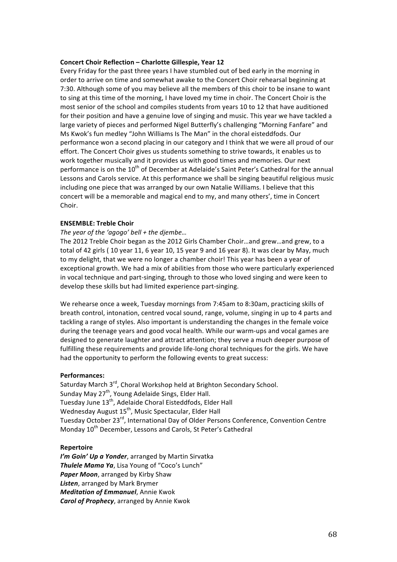### **Concert Choir Reflection – Charlotte Gillespie, Year 12**

Every Friday for the past three years I have stumbled out of bed early in the morning in order to arrive on time and somewhat awake to the Concert Choir rehearsal beginning at 7:30. Although some of you may believe all the members of this choir to be insane to want to sing at this time of the morning, I have loved my time in choir. The Concert Choir is the most senior of the school and compiles students from years 10 to 12 that have auditioned for their position and have a genuine love of singing and music. This year we have tackled a large variety of pieces and performed Nigel Butterfly's challenging "Morning Fanfare" and Ms Kwok's fun medley "John Williams Is The Man" in the choral eisteddfods. Our performance won a second placing in our category and I think that we were all proud of our effort. The Concert Choir gives us students something to strive towards, it enables us to work together musically and it provides us with good times and memories. Our next performance is on the 10<sup>th</sup> of December at Adelaide's Saint Peter's Cathedral for the annual Lessons and Carols service. At this performance we shall be singing beautiful religious music including one piece that was arranged by our own Natalie Williams. I believe that this concert will be a memorable and magical end to my, and many others', time in Concert Choir.

### **ENSEMBLE: Treble Choir**

### *The year of the 'agogo' bell + the diembe...*

The 2012 Treble Choir began as the 2012 Girls Chamber Choir…and grew…and grew, to a total of 42 girls (10 year 11, 6 year 10, 15 year 9 and 16 year 8). It was clear by May, much to my delight, that we were no longer a chamber choir! This year has been a year of exceptional growth. We had a mix of abilities from those who were particularly experienced in vocal technique and part-singing, through to those who loved singing and were keen to develop these skills but had limited experience part-singing.

We rehearse once a week, Tuesday mornings from 7:45am to 8:30am, practicing skills of breath control, intonation, centred vocal sound, range, volume, singing in up to 4 parts and tackling a range of styles. Also important is understanding the changes in the female voice during the teenage years and good vocal health. While our warm-ups and vocal games are designed to generate laughter and attract attention; they serve a much deeper purpose of fulfilling these requirements and provide life-long choral techniques for the girls. We have had the opportunity to perform the following events to great success:

### **Performances:**

Saturday March 3rd, Choral Workshop held at Brighton Secondary School. Sunday May  $27<sup>th</sup>$ , Young Adelaide Sings, Elder Hall. Tuesday June 13<sup>th</sup>, Adelaide Choral Eisteddfods, Elder Hall Wednesday August 15<sup>th</sup>, Music Spectacular, Elder Hall Tuesday October 23<sup>rd</sup>, International Day of Older Persons Conference, Convention Centre Monday 10<sup>th</sup> December, Lessons and Carols, St Peter's Cathedral

### **Repertoire**

*I'm Goin' Up a Yonder*, arranged by Martin Sirvatka **Thulele Mama Ya**, Lisa Young of "Coco's Lunch" Paper Moon, arranged by Kirby Shaw **Listen**, arranged by Mark Brymer **Meditation of Emmanuel**, Annie Kwok *Carol of Prophecy, arranged by Annie Kwok*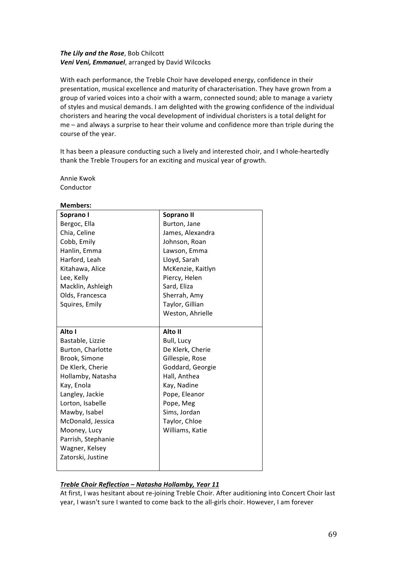### **The Lily and the Rose**, Bob Chilcott **Veni Veni, Emmanuel**, arranged by David Wilcocks

With each performance, the Treble Choir have developed energy, confidence in their presentation, musical excellence and maturity of characterisation. They have grown from a group of varied voices into a choir with a warm, connected sound; able to manage a variety of styles and musical demands. I am delighted with the growing confidence of the individual choristers and hearing the vocal development of individual choristers is a total delight for me – and always a surprise to hear their volume and confidence more than triple during the course of the year.

It has been a pleasure conducting such a lively and interested choir, and I whole-heartedly thank the Treble Troupers for an exciting and musical year of growth.

Annie Kwok Conductor

**Members:**

| iviembers:         |                   |
|--------------------|-------------------|
| Soprano I          | Soprano II        |
| Bergoc, Ella       | Burton, Jane      |
| Chia, Celine       | James, Alexandra  |
| Cobb, Emily        | Johnson, Roan     |
| Hanlin, Emma       | Lawson, Emma      |
| Harford, Leah      | Lloyd, Sarah      |
| Kitahawa, Alice    | McKenzie, Kaitlyn |
| Lee, Kelly         | Piercy, Helen     |
| Macklin, Ashleigh  | Sard, Eliza       |
| Olds, Francesca    | Sherrah, Amy      |
| Squires, Emily     | Taylor, Gillian   |
|                    | Weston, Ahrielle  |
|                    |                   |
| Alto I             | Alto II           |
| Bastable, Lizzie   | Bull, Lucy        |
| Burton, Charlotte  | De Klerk, Cherie  |
| Brook, Simone      | Gillespie, Rose   |
| De Klerk, Cherie   | Goddard, Georgie  |
| Hollamby, Natasha  | Hall, Anthea      |
| Kay, Enola         | Kay, Nadine       |
| Langley, Jackie    | Pope, Eleanor     |
| Lorton, Isabelle   | Pope, Meg         |
| Mawby, Isabel      | Sims, Jordan      |
| McDonald, Jessica  | Taylor, Chloe     |
| Mooney, Lucy       | Williams, Katie   |
| Parrish, Stephanie |                   |
| Wagner, Kelsey     |                   |
| Zatorski, Justine  |                   |
|                    |                   |

### *Treble\$Choir\$Reflection\$– Natasha\$Hollamby,\$Year\$11*

At first, I was hesitant about re-joining Treble Choir. After auditioning into Concert Choir last year, I wasn't sure I wanted to come back to the all-girls choir. However, I am forever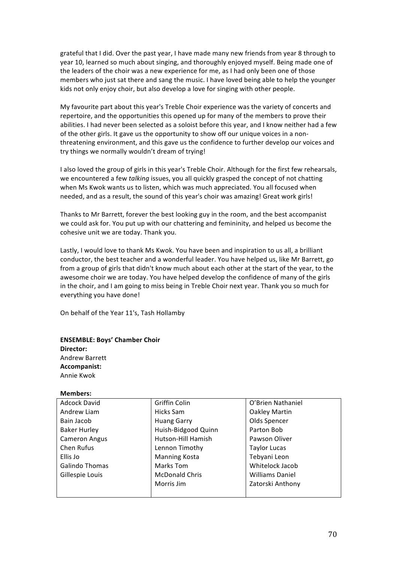grateful that I did. Over the past year, I have made many new friends from year 8 through to year 10, learned so much about singing, and thoroughly enjoyed myself. Being made one of the leaders of the choir was a new experience for me, as I had only been one of those members who just sat there and sang the music. I have loved being able to help the younger kids not only enjoy choir, but also develop a love for singing with other people.

My favourite part about this year's Treble Choir experience was the variety of concerts and repertoire, and the opportunities this opened up for many of the members to prove their abilities. I had never been selected as a soloist before this year, and I know neither had a few of the other girls. It gave us the opportunity to show off our unique voices in a nonthreatening environment, and this gave us the confidence to further develop our voices and try things we normally wouldn't dream of trying!

I also loved the group of girls in this year's Treble Choir. Although for the first few rehearsals, we encountered a few *talking* issues, you all quickly grasped the concept of not chatting when Ms Kwok wants us to listen, which was much appreciated. You all focused when needed, and as a result, the sound of this year's choir was amazing! Great work girls!

Thanks to Mr Barrett, forever the best looking guy in the room, and the best accompanist we could ask for. You put up with our chattering and femininity, and helped us become the cohesive unit we are today. Thank you.

Lastly, I would love to thank Ms Kwok. You have been and inspiration to us all, a brilliant conductor, the best teacher and a wonderful leader. You have helped us, like Mr Barrett, go from a group of girls that didn't know much about each other at the start of the year, to the awesome choir we are today. You have helped develop the confidence of many of the girls in the choir, and I am going to miss being in Treble Choir next year. Thank you so much for everything you have done!

On behalf of the Year 11's, Tash Hollamby

### **ENSEMBLE: Boys' Chamber Choir Director:** Andrew)Barrett **Accompanist:** Annie Kwok

### **Members:**

| <b>Adcock David</b>   | Griffin Colin         | O'Brien Nathaniel      |
|-----------------------|-----------------------|------------------------|
| Andrew Liam           | Hicks Sam             | Oakley Martin          |
| Bain Jacob            | <b>Huang Garry</b>    | Olds Spencer           |
| <b>Baker Hurley</b>   | Huish-Bidgood Quinn   | Parton Bob             |
| <b>Cameron Angus</b>  | Hutson-Hill Hamish    | Pawson Oliver          |
| Chen Rufus            | Lennon Timothy        | <b>Taylor Lucas</b>    |
| Ellis Jo              | <b>Manning Kosta</b>  | Tebyani Leon           |
| <b>Galindo Thomas</b> | Marks Tom             | Whitelock Jacob        |
| Gillespie Louis       | <b>McDonald Chris</b> | <b>Williams Daniel</b> |
|                       | Morris Jim            | Zatorski Anthony       |
|                       |                       |                        |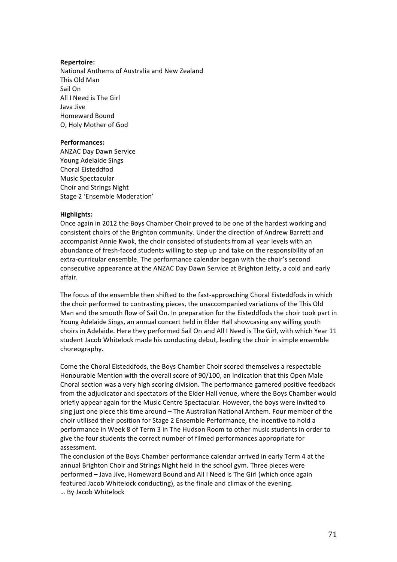### **Repertoire:**

National Anthems of Australia and New Zealand This Old Man Sail On All I Need is The Girl Java)Jive Homeward)Bound O, Holy Mother of God

### **Performances:**

ANZAC Day Dawn Service Young Adelaide Sings Choral Eisteddfod Music Spectacular Choir and Strings Night Stage 2 'Ensemble Moderation'

### **Highlights:**

Once again in 2012 the Boys Chamber Choir proved to be one of the hardest working and consistent choirs of the Brighton community. Under the direction of Andrew Barrett and accompanist Annie Kwok, the choir consisted of students from all year levels with an abundance of fresh-faced students willing to step up and take on the responsibility of an extra-curricular ensemble. The performance calendar began with the choir's second consecutive appearance at the ANZAC Day Dawn Service at Brighton Jetty, a cold and early affair.

The focus of the ensemble then shifted to the fast-approaching Choral Eisteddfods in which the choir performed to contrasting pieces, the unaccompanied variations of the This Old Man and the smooth flow of Sail On. In preparation for the Eisteddfods the choir took part in Young Adelaide Sings, an annual concert held in Elder Hall showcasing any willing youth choirs in Adelaide. Here they performed Sail On and All I Need is The Girl, with which Year 11 student Jacob Whitelock made his conducting debut, leading the choir in simple ensemble choreography.

Come the Choral Eisteddfods, the Boys Chamber Choir scored themselves a respectable Honourable Mention with the overall score of 90/100, an indication that this Open Male Choral section was a very high scoring division. The performance garnered positive feedback from the adjudicator and spectators of the Elder Hall venue, where the Boys Chamber would briefly appear again for the Music Centre Spectacular. However, the boys were invited to sing just one piece this time around – The Australian National Anthem. Four member of the choir utilised their position for Stage 2 Ensemble Performance, the incentive to hold a performance in Week 8 of Term 3 in The Hudson Room to other music students in order to give the four students the correct number of filmed performances appropriate for assessment.

The conclusion of the Boys Chamber performance calendar arrived in early Term 4 at the annual Brighton Choir and Strings Night held in the school gym. Three pieces were performed - Java Jive, Homeward Bound and All I Need is The Girl (which once again featured Jacob Whitelock conducting), as the finale and climax of the evening. …)By)Jacob)Whitelock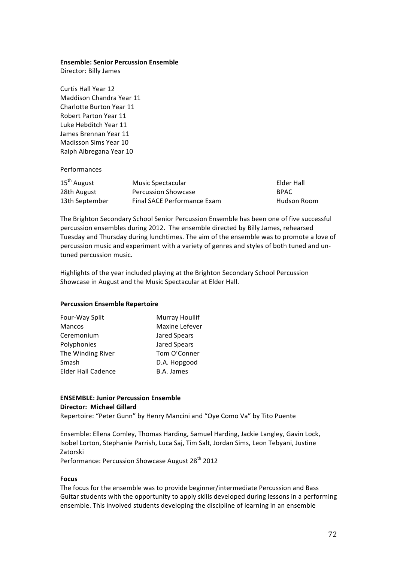### **Ensemble: Senior Percussion Ensemble**

Director: Billy James

Curtis Hall Year 12 Maddison Chandra Year 11 Charlotte Burton Year 11 Robert Parton Year 11 Luke Hebditch Year 11 James Brennan Year 11 Madisson Sims Year 10 Ralph Albregana Year 10

### Performances

| $15th$ August  | Music Spectacular                  | Elder Hall  |
|----------------|------------------------------------|-------------|
| 28th August    | <b>Percussion Showcase</b>         | <b>BPAC</b> |
| 13th September | <b>Final SACE Performance Exam</b> | Hudson Room |

The Brighton Secondary School Senior Percussion Ensemble has been one of five successful percussion ensembles during 2012. The ensemble directed by Billy James, rehearsed Tuesday and Thursday during lunchtimes. The aim of the ensemble was to promote a love of percussion music and experiment with a variety of genres and styles of both tuned and untuned percussion music.

Highlights of the year included playing at the Brighton Secondary School Percussion Showcase in August and the Music Spectacular at Elder Hall.

### **Percussion Ensemble Repertoire**

| Four-Way Split            | Murray Houllif |
|---------------------------|----------------|
| <b>Mancos</b>             | Maxine Lefever |
| Ceremonium                | Jared Spears   |
| Polyphonies               | Jared Spears   |
| The Winding River         | Tom O'Conner   |
| Smash                     | D.A. Hopgood   |
| <b>Elder Hall Cadence</b> | B.A. James     |

### **ENSEMBLE: Junior Percussion Ensemble Director: Michael Gillard**

Repertoire: "Peter Gunn" by Henry Mancini and "Oye Como Va" by Tito Puente

Ensemble: Ellena Comley, Thomas Harding, Samuel Harding, Jackie Langley, Gavin Lock, Isobel Lorton, Stephanie Parrish, Luca Saj, Tim Salt, Jordan Sims, Leon Tebyani, Justine Zatorski

Performance: Percussion Showcase August 28<sup>th</sup> 2012

### **Focus**

The focus for the ensemble was to provide beginner/intermediate Percussion and Bass Guitar students with the opportunity to apply skills developed during lessons in a performing ensemble. This involved students developing the discipline of learning in an ensemble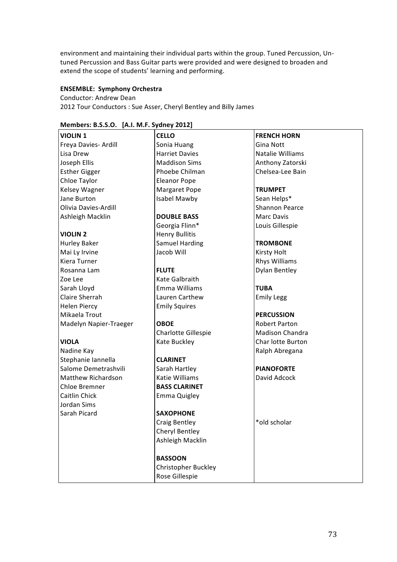environment and maintaining their individual parts within the group. Tuned Percussion, Untuned Percussion and Bass Guitar parts were provided and were designed to broaden and extend the scope of students' learning and performing.

### **ENSEMBLE: Symphony Orchestra**

Conductor: Andrew Dean 2012 Tour Conductors: Sue Asser, Cheryl Bentley and Billy James

| <b>VIOLIN 1</b>           | <b>CELLO</b>          | <b>FRENCH HORN</b>    |
|---------------------------|-----------------------|-----------------------|
| Freya Davies- Ardill      | Sonia Huang           | Gina Nott             |
| Lisa Drew                 | <b>Harriet Davies</b> | Natalie Williams      |
| Joseph Ellis              | <b>Maddison Sims</b>  | Anthony Zatorski      |
| <b>Esther Gigger</b>      | Phoebe Chilman        | Chelsea-Lee Bain      |
| Chloe Taylor              | <b>Eleanor Pope</b>   |                       |
| Kelsey Wagner             | Margaret Pope         | <b>TRUMPET</b>        |
| Jane Burton               | Isabel Mawby          | Sean Helps*           |
| Olivia Davies-Ardill      |                       | <b>Shannon Pearce</b> |
| Ashleigh Macklin          | <b>DOUBLE BASS</b>    | <b>Marc Davis</b>     |
|                           | Georgia Flinn*        | Louis Gillespie       |
| <b>VIOLIN 2</b>           | <b>Henry Bullitis</b> |                       |
| <b>Hurley Baker</b>       | <b>Samuel Harding</b> | <b>TROMBONE</b>       |
| Mai Ly Irvine             | Jacob Will            | <b>Kirsty Holt</b>    |
| Kiera Turner              |                       | <b>Rhys Williams</b>  |
| Rosanna Lam               | <b>FLUTE</b>          | <b>Dylan Bentley</b>  |
| Zoe Lee                   | Kate Galbraith        |                       |
| Sarah Lloyd               | Emma Williams         | <b>TUBA</b>           |
| Claire Sherrah            | Lauren Carthew        | <b>Emily Legg</b>     |
| <b>Helen Piercy</b>       | <b>Emily Squires</b>  |                       |
| Mikaela Trout             |                       | <b>PERCUSSION</b>     |
| Madelyn Napier-Traeger    | <b>OBOE</b>           | <b>Robert Parton</b>  |
|                           | Charlotte Gillespie   | Madison Chandra       |
| <b>VIOLA</b>              | Kate Buckley          | Char lotte Burton     |
| Nadine Kay                |                       | Ralph Abregana        |
| Stephanie Iannella        | <b>CLARINET</b>       |                       |
| Salome Demetrashvili      | Sarah Hartley         | <b>PIANOFORTE</b>     |
| <b>Matthew Richardson</b> | Katie Williams        | David Adcock          |
| Chloe Bremner             | <b>BASS CLARINET</b>  |                       |
| Caitlin Chick             | <b>Emma Quigley</b>   |                       |
| Jordan Sims               |                       |                       |
| Sarah Picard              | <b>SAXOPHONE</b>      |                       |
|                           | <b>Craig Bentley</b>  | *old scholar          |
|                           | Cheryl Bentley        |                       |
|                           | Ashleigh Macklin      |                       |
|                           |                       |                       |
|                           | <b>BASSOON</b>        |                       |
|                           | Christopher Buckley   |                       |
|                           | Rose Gillespie        |                       |

### **Members:!B.S.S.O.!!![A.I.!M.F.!Sydney!2012]**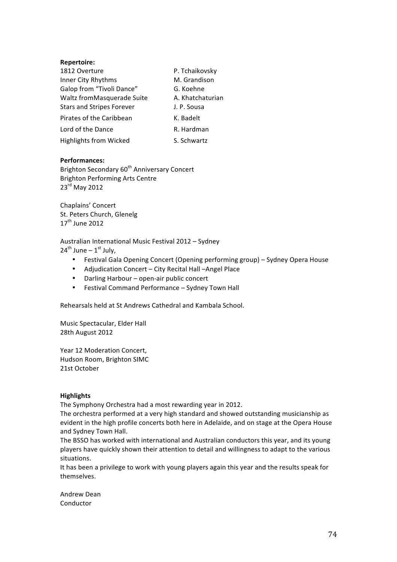### **Repertoire:**

| 1812 Overture                    | P. Tchaikovsky   |
|----------------------------------|------------------|
| Inner City Rhythms               | M. Grandison     |
| Galop from "Tivoli Dance"        | G. Koehne        |
| Waltz fromMasquerade Suite       | A. Khatchaturian |
| <b>Stars and Stripes Forever</b> | J. P. Sousa      |
| Pirates of the Caribbean         | K. Badelt        |
| Lord of the Dance                | R. Hardman       |
| <b>Highlights from Wicked</b>    | S. Schwartz      |

### **Performances:**

Brighton Secondary 60<sup>th</sup> Anniversary Concert Brighton Performing Arts Centre 23<sup>rd</sup> May 2012

Chaplains' Concert St. Peters Church, Glenelg  $17<sup>th</sup>$  June 2012

Australian International Music Festival 2012 - Sydney

 $24^{th}$  June –  $1^{st}$  July,

- Festival Gala Opening Concert (Opening performing group) Sydney Opera House
- Adjudication Concert City Recital Hall –Angel Place
- Darling Harbour open-air public concert
- Festival Command Performance Sydney Town Hall

Rehearsals held at St Andrews Cathedral and Kambala School.

Music Spectacular, Elder Hall 28th August 2012

Year 12 Moderation Concert, Hudson Room, Brighton SIMC 21st October

### **Highlights!**

The Symphony Orchestra had a most rewarding year in 2012.

The orchestra performed at a very high standard and showed outstanding musicianship as evident in the high profile concerts both here in Adelaide, and on stage at the Opera House and Sydney Town Hall.

The BSSO has worked with international and Australian conductors this year, and its young players have quickly shown their attention to detail and willingness to adapt to the various situations.

It has been a privilege to work with young players again this year and the results speak for themselves.)

Andrew Dean Conductor)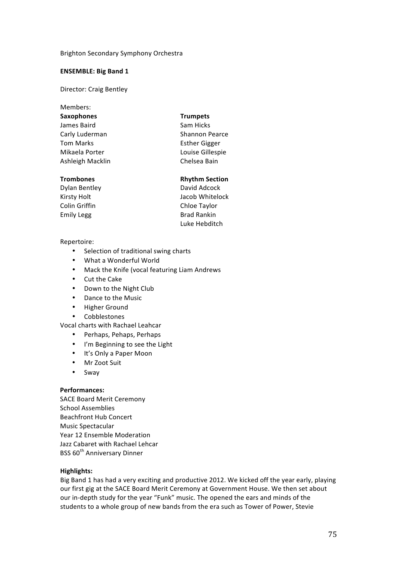### Brighton Secondary Symphony Orchestra

### **ENSEMBLE: Big Band 1**

Director: Craig Bentley

Members: **Saxophones Trumpets** James Baird Sam Hicks Carly Luderman Shannon Pearce Tom Marks **Esther** Gigger Mikaela Porter **Louise** Gillespie Ashleigh Macklin Chelsea Bain

Dylan Bentley **David Adcock** Colin Griffin Chloe Taylor Emily Legg Brad Rankin

- 
- **Trombones Rhythm Section**

Kirsty)Holt Jacob)Whitelock Luke Hebditch

### Repertoire:

- Selection of traditional swing charts
- What a Wonderful World
- Mack the Knife (vocal featuring Liam Andrews
- $\bullet$  Cut the Cake
- Down to the Night Club
- Dance to the Music
- **Higher Ground**
- Cobblestones

Vocal charts with Rachael Leahcar

- Perhaps, Pehaps, Perhaps
- I'm Beginning to see the Light
- It's Only a Paper Moon
- Mr Zoot Suit
- Sway

### **Performances:**

SACE Board Merit Ceremony School Assemblies Beachfront Hub Concert Music Spectacular Year 12 Ensemble Moderation Jazz Cabaret with Rachael Lehcar BSS 60<sup>th</sup> Anniversary Dinner

### **Highlights:**

Big Band 1 has had a very exciting and productive 2012. We kicked off the year early, playing our first gig at the SACE Board Merit Ceremony at Government House. We then set about our in-depth study for the year "Funk" music. The opened the ears and minds of the students to a whole group of new bands from the era such as Tower of Power, Stevie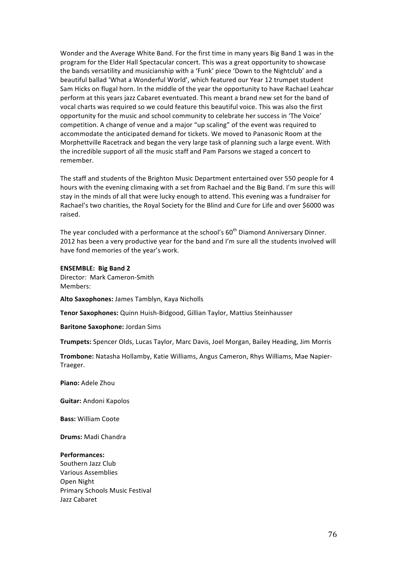Wonder and the Average White Band. For the first time in many years Big Band 1 was in the program for the Elder Hall Spectacular concert. This was a great opportunity to showcase the bands versatility and musicianship with a 'Funk' piece 'Down to the Nightclub' and a beautiful ballad 'What a Wonderful World', which featured our Year 12 trumpet student Sam Hicks on flugal horn. In the middle of the year the opportunity to have Rachael Leahcar perform at this years jazz Cabaret eventuated. This meant a brand new set for the band of vocal charts was required so we could feature this beautiful voice. This was also the first opportunity for the music and school community to celebrate her success in 'The Voice' competition. A change of venue and a major "up scaling" of the event was required to accommodate the anticipated demand for tickets. We moved to Panasonic Room at the Morphettville Racetrack and began the very large task of planning such a large event. With the incredible support of all the music staff and Pam Parsons we staged a concert to remember.

The staff and students of the Brighton Music Department entertained over 550 people for 4 hours with the evening climaxing with a set from Rachael and the Big Band. I'm sure this will stay in the minds of all that were lucky enough to attend. This evening was a fundraiser for Rachael's two charities, the Royal Society for the Blind and Cure for Life and over \$6000 was raised.

The year concluded with a performance at the school's 60<sup>th</sup> Diamond Anniversary Dinner. 2012 has been a very productive year for the band and I'm sure all the students involved will have fond memories of the year's work.

### **ENSEMBLE: Big Band 2**

Director: Mark Cameron-Smith Members:

Alto Saxophones: James Tamblyn, Kaya Nicholls

**Tenor Saxophones:** Quinn Huish-Bidgood, Gillian Taylor, Mattius Steinhausser

**Baritone Saxophone: Jordan Sims** 

Trumpets: Spencer Olds, Lucas Taylor, Marc Davis, Joel Morgan, Bailey Heading, Jim Morris

**Trombone:** Natasha Hollamby, Katie Williams, Angus Cameron, Rhys Williams, Mae Napier-Traeger.

**Piano:** Adele Zhou

**Guitar: Andoni Kapolos** 

**Bass: William Coote** 

**Drums: Madi Chandra** 

### **Performances:**

Southern Jazz Club Various Assemblies Open Night Primary Schools Music Festival Jazz Cabaret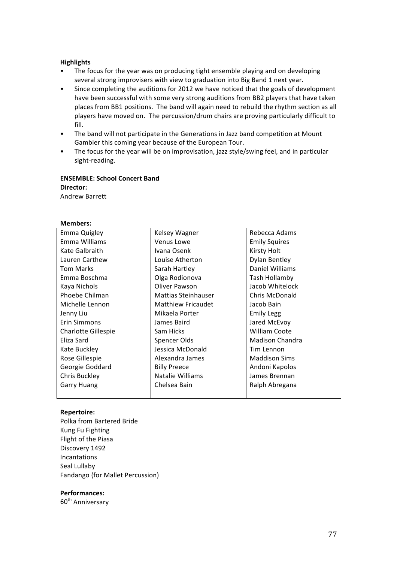### **Highlights!**

- The focus for the year was on producing tight ensemble playing and on developing several strong improvisers with view to graduation into Big Band 1 next year.
- Since completing the auditions for 2012 we have noticed that the goals of development have been successful with some very strong auditions from BB2 players that have taken places from BB1 positions. The band will again need to rebuild the rhythm section as all players have moved on. The percussion/drum chairs are proving particularly difficult to fill.
- The band will not participate in the Generations in Jazz band competition at Mount Gambier this coming year because of the European Tour.
- The focus for the year will be on improvisation, jazz style/swing feel, and in particular sight-reading.

### **ENSEMBLE: School Concert Band Director:**

Andrew)Barrett

### **Members:**

| Emma Quigley        | Kelsey Wagner              | Rebecca Adams          |
|---------------------|----------------------------|------------------------|
| Emma Williams       | Venus Lowe                 | <b>Emily Squires</b>   |
| Kate Galbraith      | Ivana Osenk                | Kirsty Holt            |
| Lauren Carthew      | Louise Atherton            | <b>Dylan Bentley</b>   |
| <b>Tom Marks</b>    | Sarah Hartley              | Daniel Williams        |
| Emma Boschma        | Olga Rodionova             | Tash Hollamby          |
| Kaya Nichols        | Oliver Pawson              | Jacob Whitelock        |
| Phoebe Chilman      | <b>Mattias Steinhauser</b> | <b>Chris McDonald</b>  |
| Michelle Lennon     | <b>Matthiew Fricaudet</b>  | Jacob Bain             |
| Jenny Liu           | Mikaela Porter             | <b>Emily Legg</b>      |
| Erin Simmons        | James Baird                | Jared McEvoy           |
| Charlotte Gillespie | Sam Hicks                  | <b>William Coote</b>   |
| Eliza Sard          | Spencer Olds               | <b>Madison Chandra</b> |
| Kate Buckley        | Jessica McDonald           | Tim Lennon             |
| Rose Gillespie      | Alexandra James            | <b>Maddison Sims</b>   |
| Georgie Goddard     | <b>Billy Preece</b>        | Andoni Kapolos         |
| Chris Buckley       | Natalie Williams           | James Brennan          |
| <b>Garry Huang</b>  | Chelsea Bain               | Ralph Abregana         |
|                     |                            |                        |

### **Repertoire:**

Polka from Bartered Bride Kung Fu Fighting Flight of the Piasa Discovery 1492 Incantations Seal Lullaby Fandango (for Mallet Percussion)

### **Performances:**

60<sup>th</sup> Anniversary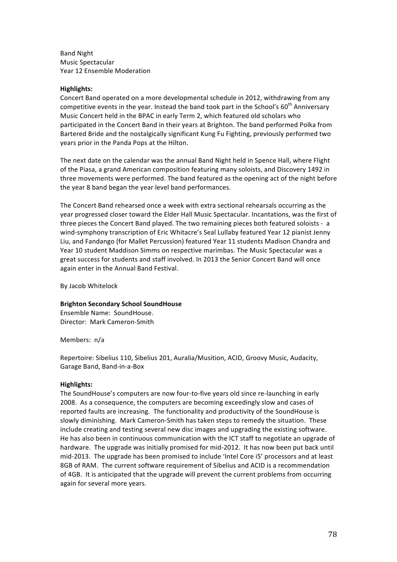**Band Night** Music Spectacular Year 12 Ensemble Moderation

### **Highlights:!**

Concert Band operated on a more developmental schedule in 2012, withdrawing from any competitive events in the year. Instead the band took part in the School's  $60^{th}$  Anniversary Music Concert held in the BPAC in early Term 2, which featured old scholars who participated in the Concert Band in their years at Brighton. The band performed Polka from Bartered Bride and the nostalgically significant Kung Fu Fighting, previously performed two years prior in the Panda Pops at the Hilton.

The next date on the calendar was the annual Band Night held in Spence Hall, where Flight of the Piasa, a grand American composition featuring many soloists, and Discovery 1492 in three movements were performed. The band featured as the opening act of the night before the year 8 band began the year level band performances.

The Concert Band rehearsed once a week with extra sectional rehearsals occurring as the year progressed closer toward the Elder Hall Music Spectacular. Incantations, was the first of three pieces the Concert Band played. The two remaining pieces both featured soloists - a wind-symphony transcription of Eric Whitacre's Seal Lullaby featured Year 12 pianist Jenny Liu, and Fandango (for Mallet Percussion) featured Year 11 students Madison Chandra and Year 10 student Maddison Simms on respective marimbas. The Music Spectacular was a great success for students and staff involved. In 2013 the Senior Concert Band will once again enter in the Annual Band Festival.

By)Jacob)Whitelock

### **Brighton!Secondary!School!SoundHouse**

Ensemble Name: SoundHouse. Director: Mark Cameron-Smith

Members: n/a

Repertoire: Sibelius 110, Sibelius 201, Auralia/Musition, ACID, Groovy Music, Audacity, Garage Band, Band-in-a-Box

### **Highlights:**

The SoundHouse's computers are now four-to-five years old since re-launching in early 2008. As a consequence, the computers are becoming exceedingly slow and cases of reported faults are increasing. The functionality and productivity of the SoundHouse is slowly diminishing. Mark Cameron-Smith has taken steps to remedy the situation. These include creating and testing several new disc images and upgrading the existing software. He has also been in continuous communication with the ICT staff to negotiate an upgrade of hardware. The upgrade was initially promised for mid-2012. It has now been put back until mid-2013. The upgrade has been promised to include 'Intel Core i5' processors and at least 8GB of RAM. The current software requirement of Sibelius and ACID is a recommendation of 4GB. It is anticipated that the upgrade will prevent the current problems from occurring again for several more years.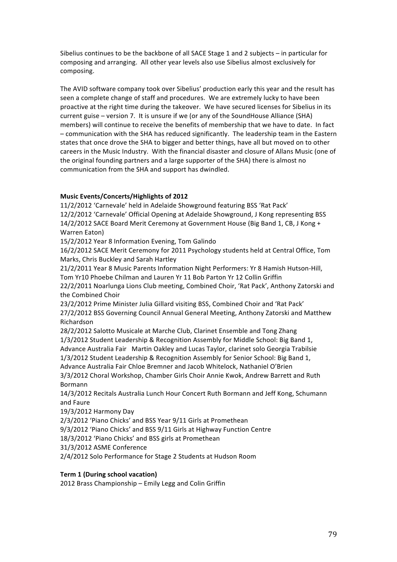Sibelius continues to be the backbone of all SACE Stage 1 and 2 subjects – in particular for composing and arranging. All other year levels also use Sibelius almost exclusively for composing.

The AVID software company took over Sibelius' production early this year and the result has seen a complete change of staff and procedures. We are extremely lucky to have been proactive at the right time during the takeover. We have secured licenses for Sibelius in its current guise – version 7. It is unsure if we (or any of the SoundHouse Alliance (SHA) members) will continue to receive the benefits of membership that we have to date. In fact - communication with the SHA has reduced significantly. The leadership team in the Eastern states that once drove the SHA to bigger and better things, have all but moved on to other careers in the Music Industry. With the financial disaster and closure of Allans Music (one of the original founding partners and a large supporter of the SHA) there is almost no communication from the SHA and support has dwindled.

### **Music!Events/Concerts/Highlights!of!2012**

11/2/2012 'Carnevale' held in Adelaide Showground featuring BSS 'Rat Pack' 12/2/2012 'Carnevale' Official Opening at Adelaide Showground, J Kong representing BSS 14/2/2012 SACE Board Merit Ceremony at Government House (Big Band 1, CB, J Kong + Warren Eaton)

15/2/2012 Year 8 Information Evening, Tom Galindo

16/2/2012 SACE Merit Ceremony for 2011 Psychology students held at Central Office, Tom Marks, Chris Buckley and Sarah Hartley

21/2/2011 Year 8 Music Parents Information Night Performers: Yr 8 Hamish Hutson-Hill, Tom Yr10 Phoebe Chilman and Lauren Yr 11 Bob Parton Yr 12 Collin Griffin

22/2/2011 Noarlunga Lions Club meeting, Combined Choir, 'Rat Pack', Anthony Zatorski and the Combined Choir

23/2/2012 Prime Minister Julia Gillard visiting BSS, Combined Choir and 'Rat Pack' 27/2/2012 BSS Governing Council Annual General Meeting, Anthony Zatorski and Matthew Richardson

28/2/2012 Salotto Musicale at Marche Club, Clarinet Ensemble and Tong Zhang

1/3/2012 Student Leadership & Recognition Assembly for Middle School: Big Band 1,

Advance Australia Fair Martin Oakley and Lucas Taylor, clarinet solo Georgia Trabilsie

1/3/2012 Student Leadership & Recognition Assembly for Senior School: Big Band 1,

Advance Australia Fair Chloe Bremner and Jacob Whitelock, Nathaniel O'Brien

3/3/2012 Choral Workshop, Chamber Girls Choir Annie Kwok, Andrew Barrett and Ruth Bormann

14/3/2012 Recitals Australia Lunch Hour Concert Ruth Bormann and Jeff Kong, Schumann and Faure

19/3/2012 Harmony Day

2/3/2012 'Piano Chicks' and BSS Year 9/11 Girls at Promethean

9/3/2012 'Piano Chicks' and BSS 9/11 Girls at Highway Function Centre

18/3/2012 'Piano Chicks' and BSS girls at Promethean

31/3/2012 ASME Conference

2/4/2012 Solo Performance for Stage 2 Students at Hudson Room

### **Term 1 (During school vacation)**

2012 Brass Championship – Emily Legg and Colin Griffin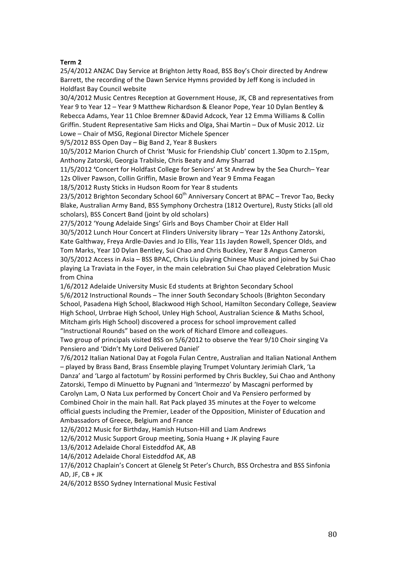### **Term!2**

25/4/2012 ANZAC Day Service at Brighton Jetty Road, BSS Boy's Choir directed by Andrew Barrett, the recording of the Dawn Service Hymns provided by Jeff Kong is included in Holdfast Bay Council website

30/4/2012 Music Centres Reception at Government House, JK, CB and representatives from Year 9 to Year 12 - Year 9 Matthew Richardson & Eleanor Pope, Year 10 Dylan Bentley & Rebecca Adams, Year 11 Chloe Bremner &David Adcock, Year 12 Emma Williams & Collin Griffin. Student Representative Sam Hicks and Olga, Shai Martin - Dux of Music 2012. Liz Lowe – Chair of MSG, Regional Director Michele Spencer

9/5/2012 BSS Open Day - Big Band 2, Year 8 Buskers

10/5/2012 Marion Church of Christ 'Music for Friendship Club' concert 1.30pm to 2.15pm, Anthony Zatorski, Georgia Trabilsie, Chris Beaty and Amy Sharrad

11/5/2012 'Concert for Holdfast College for Seniors' at St Andrew by the Sea Church– Year 12s Oliver Pawson, Collin Griffin, Masie Brown and Year 9 Emma Feagan

18/5/2012 Rusty Sticks in Hudson Room for Year 8 students

23/5/2012 Brighton Secondary School 60<sup>th</sup> Anniversary Concert at BPAC – Trevor Tao, Becky Blake, Australian Army Band, BSS Symphony Orchestra (1812 Overture), Rusty Sticks (all old scholars), BSS Concert Band (joint by old scholars)

27/5/2012 'Young Adelaide Sings' Girls and Boys Chamber Choir at Elder Hall

30/5/2012 Lunch Hour Concert at Flinders University library – Year 12s Anthony Zatorski, Kate Galthway, Freya Ardle-Davies and Jo Ellis, Year 11s Jayden Rowell, Spencer Olds, and Tom Marks, Year 10 Dylan Bentley, Sui Chao and Chris Buckley, Year 8 Angus Cameron 30/5/2012 Access in Asia - BSS BPAC, Chris Liu playing Chinese Music and joined by Sui Chao playing La Traviata in the Foyer, in the main celebration Sui Chao played Celebration Music from China

1/6/2012 Adelaide University Music Ed students at Brighton Secondary School 5/6/2012 Instructional Rounds – The inner South Secondary Schools (Brighton Secondary) School, Pasadena High School, Blackwood High School, Hamilton Secondary College, Seaview High School, Urrbrae High School, Unley High School, Australian Science & Maths School, Mitcham girls High School) discovered a process for school improvement called "Instructional Rounds" based on the work of Richard Elmore and colleagues.

Two group of principals visited BSS on 5/6/2012 to observe the Year 9/10 Choir singing Va Pensiero and 'Didn't My Lord Delivered Daniel'

7/6/2012 Italian National Day at Fogola Fulan Centre, Australian and Italian National Anthem – played)by)Brass)Band,)Brass)Ensemble)playing)Trumpet)Voluntary)Jerimiah)Clark,)'La) Danza' and 'Largo al factotum' by Rossini performed by Chris Buckley, Sui Chao and Anthony Zatorski, Tempo di Minuetto by Pugnani and 'Intermezzo' by Mascagni performed by Carolyn Lam, O Nata Lux performed by Concert Choir and Va Pensiero performed by Combined Choir in the main hall. Rat Pack played 35 minutes at the Foyer to welcome official guests including the Premier, Leader of the Opposition, Minister of Education and Ambassadors of Greece, Belgium and France

12/6/2012 Music for Birthday, Hamish Hutson-Hill and Liam Andrews

12/6/2012 Music Support Group meeting, Sonia Huang + JK playing Faure

13/6/2012 Adelaide Choral Eisteddfod AK, AB

14/6/2012 Adelaide Choral Eisteddfod AK, AB

17/6/2012 Chaplain's Concert at Glenelg St Peter's Church, BSS Orchestra and BSS Sinfonia AD, JF,  $CB + JK$ 

24/6/2012 BSSO Sydney International Music Festival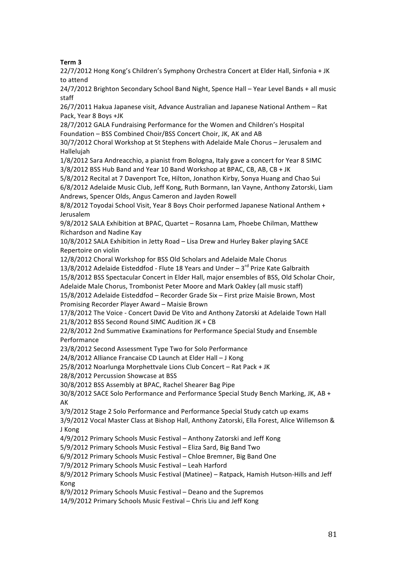### **Term!3!**

22/7/2012 Hong Kong's Children's Symphony Orchestra Concert at Elder Hall, Sinfonia + JK to attend

24/7/2012 Brighton Secondary School Band Night, Spence Hall – Year Level Bands + all music staff

26/7/2011 Hakua Japanese visit, Advance Australian and Japanese National Anthem - Rat Pack, Year 8 Boys +JK

28/7/2012 GALA Fundraising Performance for the Women and Children's Hospital Foundation – BSS Combined Choir/BSS Concert Choir, JK, AK and AB

30/7/2012 Choral Workshop at St Stephens with Adelaide Male Chorus - Jerusalem and Hallelujah

1/8/2012 Sara Andreacchio, a pianist from Bologna, Italy gave a concert for Year 8 SIMC  $3/8/2012$  BSS Hub Band and Year 10 Band Workshop at BPAC, CB, AB, CB + JK

5/8/2012 Recital at 7 Davenport Tce, Hilton, Jonathon Kirby, Sonya Huang and Chao Sui 6/8/2012 Adelaide Music Club, Jeff Kong, Ruth Bormann, Jan Vayne, Anthony Zatorski, Liam Andrews, Spencer Olds, Angus Cameron and Jayden Rowell

8/8/2012 Toyodai School Visit, Year 8 Boys Choir performed Japanese National Anthem + Jerusalem

9/8/2012 SALA Exhibition at BPAC, Quartet - Rosanna Lam, Phoebe Chilman, Matthew Richardson and Nadine Kay

10/8/2012 SALA Exhibition in Jetty Road - Lisa Drew and Hurley Baker playing SACE Repertoire on violin

12/8/2012 Choral Workshop for BSS Old Scholars and Adelaide Male Chorus

13/8/2012 Adelaide Eisteddfod - Flute 18 Years and Under – 3rd Prize Kate Galbraith

15/8/2012 BSS Spectacular Concert in Elder Hall, major ensembles of BSS, Old Scholar Choir,

Adelaide Male Chorus, Trombonist Peter Moore and Mark Oakley (all music staff)

15/8/2012 Adelaide Eisteddfod – Recorder Grade Six – First prize Maisie Brown, Most Promising Recorder Player Award – Maisie Brown

17/8/2012 The Voice - Concert David De Vito and Anthony Zatorski at Adelaide Town Hall

 $21/8/2012$  BSS Second Round SIMC Audition JK + CB

22/8/2012 2nd Summative Examinations for Performance Special Study and Ensemble Performance)

23/8/2012 Second Assessment Type Two for Solo Performance

24/8/2012 Alliance Francaise CD Launch at Elder Hall - J Kong

25/8/2012 Noarlunga Morphettvale Lions Club Concert – Rat Pack + JK

28/8/2012 Percussion Showcase at BSS

30/8/2012 BSS Assembly at BPAC, Rachel Shearer Bag Pipe

30/8/2012 SACE Solo Performance and Performance Special Study Bench Marking, JK, AB + AK

3/9/2012 Stage 2 Solo Performance and Performance Special Study catch up exams

3/9/2012 Vocal Master Class at Bishop Hall, Anthony Zatorski, Ella Forest, Alice Willemson & J)Kong

4/9/2012 Primary Schools Music Festival – Anthony Zatorski and Jeff Kong

5/9/2012 Primary Schools Music Festival – Eliza Sard, Big Band Two

6/9/2012 Primary Schools Music Festival – Chloe Bremner, Big Band One

7/9/2012 Primary Schools Music Festival – Leah Harford

8/9/2012 Primary Schools Music Festival (Matinee) – Ratpack, Hamish Hutson-Hills and Jeff Kong

8/9/2012 Primary Schools Music Festival – Deano and the Supremos

14/9/2012 Primary Schools Music Festival – Chris Liu and Jeff Kong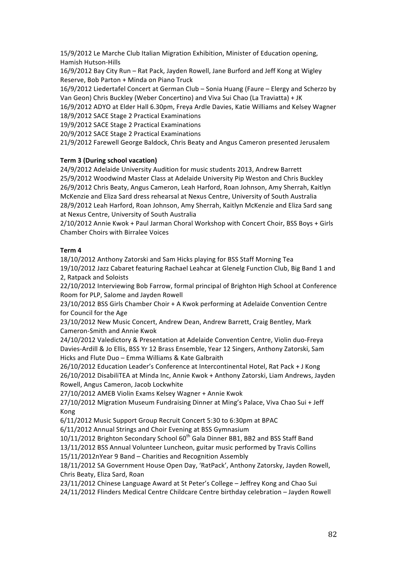15/9/2012 Le Marche Club Italian Migration Exhibition, Minister of Education opening, Hamish Hutson-Hills

16/9/2012 Bay City Run – Rat Pack, Jayden Rowell, Jane Burford and Jeff Kong at Wigley Reserve, Bob Parton + Minda on Piano Truck

16/9/2012 Liedertafel Concert at German Club – Sonia Huang (Faure – Elergy and Scherzo by Van Geon) Chris Buckley (Weber Concertino) and Viva Sui Chao (La Traviatta) + JK

16/9/2012 ADYO at Elder Hall 6.30pm, Freya Ardle Davies, Katie Williams and Kelsey Wagner 18/9/2012 SACE Stage 2 Practical Examinations

19/9/2012 SACE Stage 2 Practical Examinations

20/9/2012 SACE Stage 2 Practical Examinations

21/9/2012 Farewell George Baldock, Chris Beaty and Angus Cameron presented Jerusalem

### **Term 3 (During school vacation)**

24/9/2012 Adelaide University Audition for music students 2013, Andrew Barrett 25/9/2012 Woodwind Master Class at Adelaide University Pip Weston and Chris Buckley 26/9/2012 Chris Beaty, Angus Cameron, Leah Harford, Roan Johnson, Amy Sherrah, Kaitlyn McKenzie and Eliza Sard dress rehearsal at Nexus Centre, University of South Australia 28/9/2012 Leah Harford, Roan Johnson, Amy Sherrah, Kaitlyn McKenzie and Eliza Sard sang at Nexus Centre, University of South Australia

2/10/2012 Annie Kwok + Paul Jarman Choral Workshop with Concert Choir, BSS Boys + Girls Chamber Choirs with Birralee Voices

### **Term!4!**

18/10/2012 Anthony Zatorski and Sam Hicks playing for BSS Staff Morning Tea

19/10/2012 Jazz Cabaret featuring Rachael Leahcar at Glenelg Function Club, Big Band 1 and 2. Ratpack and Soloists

22/10/2012 Interviewing Bob Farrow, formal principal of Brighton High School at Conference Room for PLP, Salome and Jayden Rowell

23/10/2012 BSS Girls Chamber Choir + A Kwok performing at Adelaide Convention Centre for Council for the Age

23/10/2012 New Music Concert, Andrew Dean, Andrew Barrett, Craig Bentley, Mark Cameron-Smith and Annie Kwok

24/10/2012 Valedictory & Presentation at Adelaide Convention Centre, Violin duo-Freya Davies-Ardill & Jo Ellis, BSS Yr 12 Brass Ensemble, Year 12 Singers, Anthony Zatorski, Sam Hicks and Flute Duo – Emma Williams & Kate Galbraith

26/10/2012 Education Leader's Conference at Intercontinental Hotel, Rat Pack + J Kong 26/10/2012 DisabiliTEA at Minda Inc, Annie Kwok + Anthony Zatorski, Liam Andrews, Jayden Rowell, Angus Cameron, Jacob Lockwhite

27/10/2012 AMEB Violin Exams Kelsey Wagner + Annie Kwok

27/10/2012 Migration Museum Fundraising Dinner at Ming's Palace, Viva Chao Sui + Jeff Kong

6/11/2012 Music Support Group Recruit Concert 5:30 to 6:30pm at BPAC

6/11/2012 Annual Strings and Choir Evening at BSS Gymnasium

10/11/2012 Brighton Secondary School 60<sup>th</sup> Gala Dinner BB1, BB2 and BSS Staff Band

13/11/2012 BSS Annual Volunteer Luncheon, guitar music performed by Travis Collins

15/11/2012nYear 9 Band – Charities and Recognition Assembly

18/11/2012 SA Government House Open Day, 'RatPack', Anthony Zatorsky, Jayden Rowell, Chris Beaty, Eliza Sard, Roan

23/11/2012 Chinese Language Award at St Peter's College - Jeffrey Kong and Chao Sui 24/11/2012 Flinders Medical Centre Childcare Centre birthday celebration - Jayden Rowell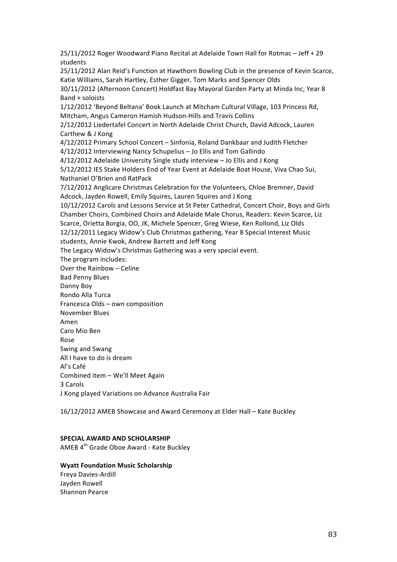25/11/2012 Roger Woodward Piano Recital at Adelaide Town Hall for Rotmac - Jeff + 29 students

25/11/2012 Alan Reid's Function at Hawthorn Bowling Club in the presence of Kevin Scarce, Katie Williams, Sarah Hartley, Esther Gigger, Tom Marks and Spencer Olds

30/11/2012 (Afternoon Concert) Holdfast Bay Mayoral Garden Party at Minda Inc, Year 8  $Band +$ soloists

1/12/2012 'Beyond Beltana' Book Launch at Mitcham Cultural Village, 103 Princess Rd, Mitcham, Angus Cameron Hamish Hudson-Hills and Travis Collins

2/12/2012 Liedertafel Concert in North Adelaide Christ Church, David Adcock, Lauren Carthew & J Kong

4/12/2012 Primary School Concert – Sinfonia, Roland Dankbaar and Judith Fletcher 4/12/2012 Interviewing Nancy Schupelius - Jo Ellis and Tom Gallindo

 $4/12/2012$  Adelaide University Single study interview – Jo Ellis and J Kong

5/12/2012 IES Stake Holders End of Year Event at Adelaide Boat House, Viva Chao Sui, Nathaniel O'Brien and RatPack

7/12/2012 Anglicare Christmas Celebration for the Volunteers, Chloe Bremner, David Adcock, Jayden Rowell, Emily Squires, Lauren Squires and J Kong

10/12/2012 Carols and Lessons Service at St Peter Cathedral, Concert Choir, Boys and Girls Chamber Choirs, Combined Choirs and Adelaide Male Chorus, Readers: Kevin Scarce, Liz Scarce, Orietta Borgia, OO, JK, Michele Spencer, Greg Wiese, Ken Rollond, Liz Olds 12/12/2011 Legacy Widow's Club Christmas gathering, Year 8 Special Interest Music

students, Annie Kwok, Andrew Barrett and Jeff Kong

The Legacy Widow's Christmas Gathering was a very special event.

The program includes:

Over the Rainbow – Celine

Bad Penny Blues

Danny Boy

Rondo Alla Turca

Francesca Olds – own composition

November Blues

Amen

Caro Mio Ben Rose

Swing and Swang All I have to do is dream

Al's Café

Combined item - We'll Meet Again

3)Carols)

J Kong played Variations on Advance Australia Fair

16/12/2012 AMEB Showcase and Award Ceremony at Elder Hall - Kate Buckley

### **SPECIAL AWARD AND SCHOLARSHIP**

AMEB 4<sup>th</sup> Grade Oboe Award - Kate Buckley

### **Wyatt Foundation Music Scholarship**

Freya Davies-Ardill Jayden Rowell Shannon Pearce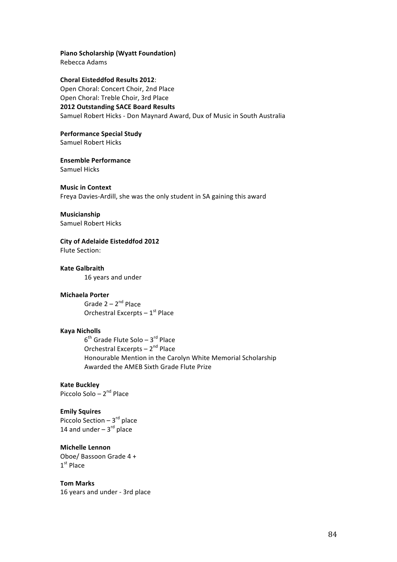### **Piano Scholarship (Wyatt Foundation)**

Rebecca Adams

**Choral Eisteddfod Results 2012:** Open Choral: Concert Choir, 2nd Place Open Choral: Treble Choir, 3rd Place **2012 Outstanding SACE Board Results** Samuel Robert Hicks - Don Maynard Award, Dux of Music in South Australia

**Performance Special Study** Samuel Robert Hicks

**Ensemble Performance** Samuel Hicks

### **Music in Context**

Freya Davies-Ardill, she was the only student in SA gaining this award

**Musicianship**

Samuel Robert Hicks

**City of Adelaide Eisteddfod 2012** 

Flute Section:

**Kate!Galbraith** 16 years and under

### **Michaela!Porter**

Grade  $2 - 2^{nd}$  Place Orchestral Excerpts –  $1<sup>st</sup>$  Place

### **Kaya!Nicholls**

 $6<sup>th</sup>$  Grade Flute Solo – 3<sup>rd</sup> Place Orchestral Excerpts –  $2^{nd}$  Place Honourable Mention in the Carolyn White Memorial Scholarship Awarded the AMEB Sixth Grade Flute Prize

**Kate!Buckley**

Piccolo Solo –  $2^{nd}$  Place

### **Emily!Squires**

Piccolo Section –  $3^{rd}$  place 14 and under  $- 3<sup>rd</sup>$  place

### **Michelle Lennon**

Oboe/ Bassoon Grade 4 + 1<sup>st</sup> Place

**Tom!Marks** 16 years and under - 3rd place